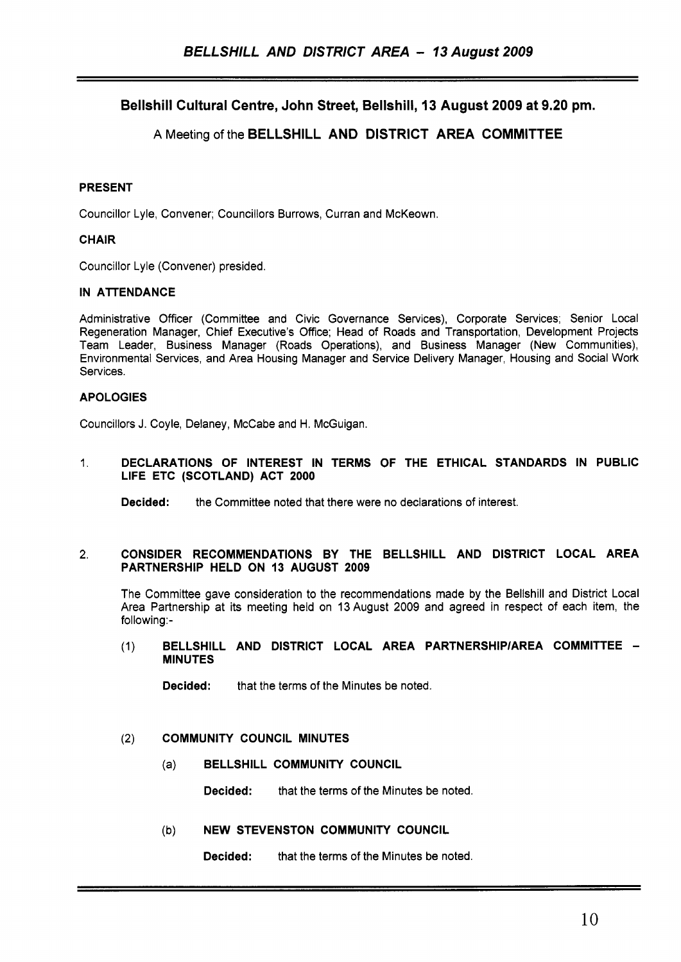Bellshill Cultural Centre, John Street, Bellshill, **13** August **2009** at **9.20 pm.** 

# A Meeting of the BELLSHILL AND DISTRICT AREA COMMITTEE

# PRESENT

Councillor Lyle, Convener; Councillors Burrows, Curran and McKeown.

# **CHAIR**

Councillor Lyle (Convener) presided.

# IN ATTENDANCE

Administrative Officer (Committee and Civic Governance Services), Corporate Services; Senior Local Regeneration Manager, Chief Executive's Office; Head of Roads and Transportation, Development Projects Team Leader, Business Manager (Roads Operations), and Business Manager (New Communities), Environmental Services, and Area Housing Manager and Service Delivery Manager, Housing and Social Work Services.

# APOLOGIES

Councillors J. Coyle, Delaney, McCabe and H. McGuigan.

### 1. DECLARATIONS OF INTEREST IN TERMS OF THE ETHICAL STANDARDS IN PUBLIC LIFE ETC (SCOTLAND) ACT 2000

Decided: the Committee noted that there were no declarations of interest.

### *2.* CONSIDER RECOMMENDATIONS BY THE BELLSHILL AND DISTRICT LOCAL AREA PARTNERSHIP HELD ON 13 AUGUST 2009

The Committee gave consideration to the recommendations made by the Bellshill and District Local Area Partnership at its meeting held on 13August 2009 and agreed in respect of each item, the following:-

#### (1) BELLSHILL AND DISTRICT LOCAL AREA PARTNERSHIP/AREA COMMITTEE -MINUTES

**Decided:** that the terms of the Minutes be noted.

### *(2)* COMMUNITY COUNCIL MINUTES

(a) BELLSHILL COMMUNITY COUNCIL

Decided: that the terms of the Minutes be noted.

### (b) NEW STEVENSTON COMMUNITY COUNCIL

Decided: that the terms of the Minutes be noted.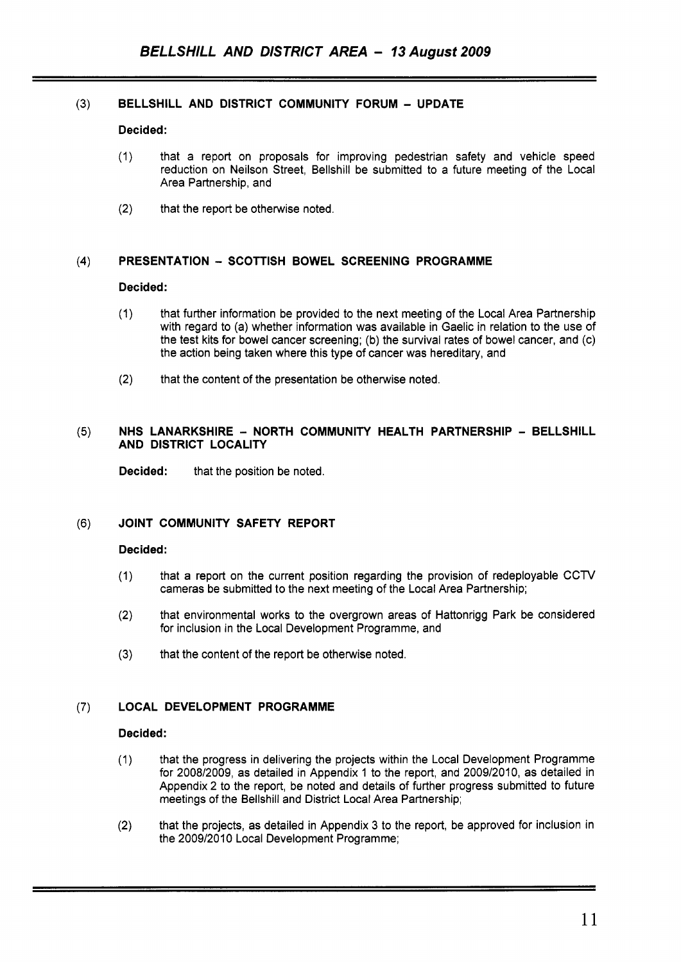# **(3) BELLSHILL AND DISTRICT COMMUNITY FORUM** - **UPDATE**

#### **Decided:**

- (1) that a report on proposals for improving pedestrian safety and vehicle speed reduction on Neilson Street, Bellshill be submitted to a future meeting of the Local Area Partnership, and
- (2) that the report be otherwise noted.

### **(4) PRESENTATION** - **SCOTTISH BOWEL SCREENING PROGRAMME**

#### **Decided:**

- (1) that further information be provided to the next meeting of the Local Area Partnership with regard to (a) whether information was available in Gaelic in relation to the use of the test kits for bowel cancer screening; (b) the survival rates of bowel cancer, and (c) the action being taken where this type of cancer was hereditary, and
- (2) that the content of the presentation be otherwise noted.

#### (5) NHS LANARKSHIRE - NORTH COMMUNITY HEALTH PARTNERSHIP - BELLSHILL **AND DISTRICT LOCALITY**

**Decided:** that the position be noted.

### **(6) JOINT COMMUNITY SAFETY REPORT**

#### **Decided:**

- (1) that a report on the current position regarding the provision of redeployable CCTV cameras be submitted to the next meeting of the Local Area Partnership;
- (2) that environmental works to the overgrown areas of Hattonrigg Park be considered for inclusion in the Local Development Programme, and
- **(3)** that the content of the report be otherwise noted.

# **(7) LOCAL DEVELOPMENT PROGRAMME**

### **Decided:**

- (1) that the progress in delivering the projects within the Local Development Programme for 2008/2009, as detailed in Appendix 1 to the report, and 2009/2010, as detailed in Appendix 2 to the report, be noted and details of further progress submitted to future meetings of the Bellshill and District Local Area Partnership;
- (2) that the projects, as detailed in Appendix 3 to the report, be approved for inclusion in the 2009/2010 Local Development Programme;